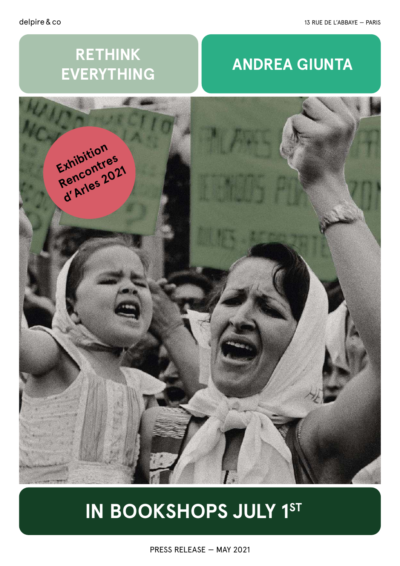# **RETHINK EVERYTHING**

# **ANDREA GIUNTA**



# **IN BOOKSHOPS JULY 1ST**

PRESS RELEASE — MAY 2021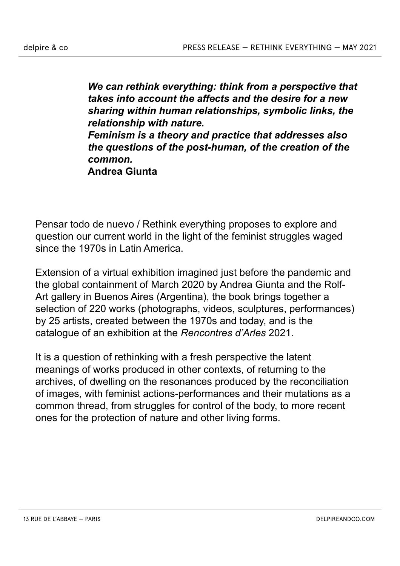*We can rethink everything: think from a perspective that takes into account the affects and the desire for a new sharing within human relationships, symbolic links, the relationship with nature. Feminism is a theory and practice that addresses also the questions of the post-human, of the creation of the common.*  **Andrea Giunta**

Pensar todo de nuevo / Rethink everything proposes to explore and question our current world in the light of the feminist struggles waged since the 1970s in Latin America.

Extension of a virtual exhibition imagined just before the pandemic and the global containment of March 2020 by Andrea Giunta and the Rolf-Art gallery in Buenos Aires (Argentina), the book brings together a selection of 220 works (photographs, videos, sculptures, performances) by 25 artists, created between the 1970s and today, and is the catalogue of an exhibition at the *Rencontres d'Arles* 2021.

It is a question of rethinking with a fresh perspective the latent meanings of works produced in other contexts, of returning to the archives, of dwelling on the resonances produced by the reconciliation of images, with feminist actions-performances and their mutations as a common thread, from struggles for control of the body, to more recent ones for the protection of nature and other living forms.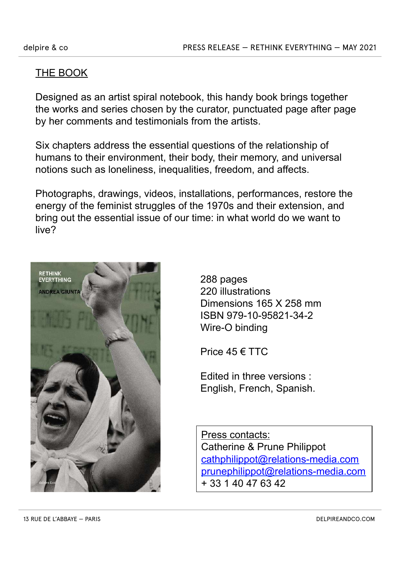#### THE BOOK

Designed as an artist spiral notebook, this handy book brings together the works and series chosen by the curator, punctuated page after page by her comments and testimonials from the artists.

Six chapters address the essential questions of the relationship of humans to their environment, their body, their memory, and universal notions such as loneliness, inequalities, freedom, and affects.

Photographs, drawings, videos, installations, performances, restore the energy of the feminist struggles of the 1970s and their extension, and bring out the essential issue of our time: in what world do we want to live?



288 pages 220 illustrations Dimensions 165 X 258 mm ISBN 979-10-95821-34-2 Wire-O binding

Price 45 € TTC

Edited in three versions : English, French, Spanish.

Press contacts: Catherine & Prune Philippot cathphilippot@relations-media.com prunephilippot@relations-media.com + 33 1 40 47 63 42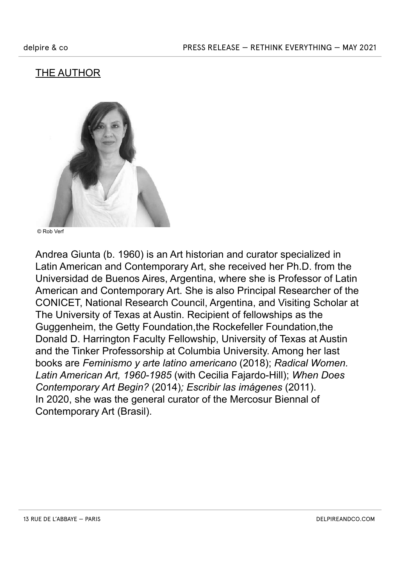# THE AUTHOR



© Rob Verf

Andrea Giunta (b. 1960) is an Art historian and curator specialized in Latin American and Contemporary Art, she received her Ph.D. from the Universidad de Buenos Aires, Argentina, where she is Professor of Latin American and Contemporary Art. She is also Principal Researcher of the CONICET, National Research Council, Argentina, and Visiting Scholar at The University of Texas at Austin. Recipient of fellowships as the Guggenheim, the Getty Foundation,the Rockefeller Foundation,the Donald D. Harrington Faculty Fellowship, University of Texas at Austin and the Tinker Professorship at Columbia University. Among her last books are *Feminismo y arte latino americano* (2018); *Radical Women. Latin American Art, 1960-1985* (with Cecilia Fajardo-Hill); *When Does Contemporary Art Begin?* (2014)*; Escribir las imágenes* (2011). In 2020, she was the general curator of the Mercosur Biennal of Contemporary Art (Brasil).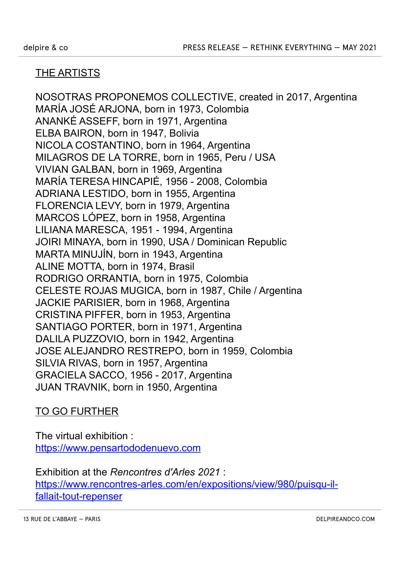### THE ARTISTS

NOSOTRAS PROPONEMOS COLLECTIVE, created in 2017, Argentina MARÍA JOSÉ ARJONA, born in 1973, Colombia ANANKÉ ASSEFF, born in 1971, Argentina ELBA BAIRON, born in 1947, Bolivia NICOLA COSTANTINO, born in 1964, Argentina MILAGROS DE LA TORRE, born in 1965, Peru / USA VIVIAN GALBAN, born in 1969, Argentina MARÍA TERESA HINCAPIÉ, 1956 - 2008, Colombia ADRIANA LESTIDO, born in 1955, Argentina FLORENCIA LEVY, born in 1979, Argentina MARCOS LÓPEZ, born in 1958, Argentina LILIANA MARESCA, 1951 - 1994, Argentina JOIRI MINAYA, born in 1990, USA / Dominican Republic MARTA MINUJÍN, born in 1943, Argentina ALINE MOTTA, born in 1974, Brasil RODRIGO ORRANTIA, born in 1975, Colombia CELESTE ROJAS MUGICA, born in 1987, Chile / Argentina JACKIE PARISIER, born in 1968, Argentina CRISTINA PIFFER, born in 1953, Argentina SANTIAGO PORTER, born in 1971, Argentina DALILA PUZZOVIO, born in 1942, Argentina JOSE ALEJANDRO RESTREPO, born in 1959, Colombia SILVIA RIVAS, born in 1957, Argentina GRACIELA SACCO, 1956 - 2017, Argentina JUAN TRAVNIK, born in 1950, Argentina

### TO GO FURTHER

The virtual exhibition : https://www.pensartododenuevo.com

Exhibition at the *Rencontres d'Arles 2021* : https://www.rencontres-arles.com/en/expositions/view/980/puisqu-ilfallait-tout-repenser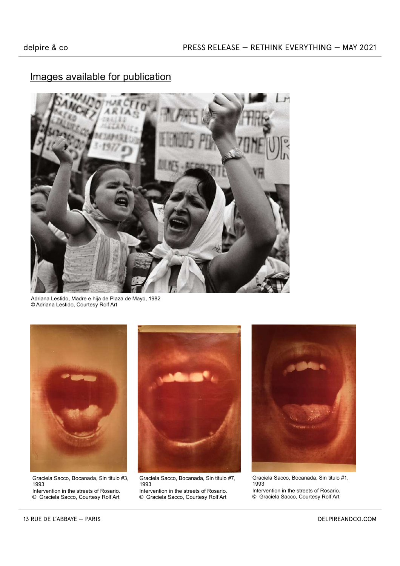

Adriana Lestido, Madre e hija de Plaza de Mayo, 1982 © Adriana Lestido, Courtesy Rolf Art



Graciela Sacco, Bocanada, Sin titulo #3, 1993 Intervention in the streets of Rosario.

© Graciela Sacco, Courtesy Rolf Art



Graciela Sacco, Bocanada, Sin titulo #7, 1993 Intervention in the streets of Rosario.

© Graciela Sacco, Courtesy Rolf Art



Graciela Sacco, Bocanada, Sin titulo #1, 1993 Intervention in the streets of Rosario. © Graciela Sacco, Courtesy Rolf Art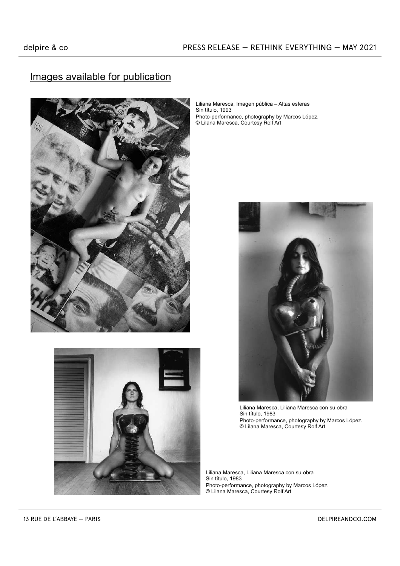

Liliana Maresca, Imagen pública – Altas esferas Sin título, 1993 Photo-performance, photography by Marcos López. © Lilana Maresca, Courtesy Rolf Art



Liliana Maresca, Liliana Maresca con su obra Sin título, 1983 Photo-performance, photography by Marcos López. © Lilana Maresca, Courtesy Rolf Art

Liliana Maresca, Liliana Maresca con su obra Sin título, 1983 Photo-performance, photography by Marcos López. © Lilana Maresca, Courtesy Rolf Art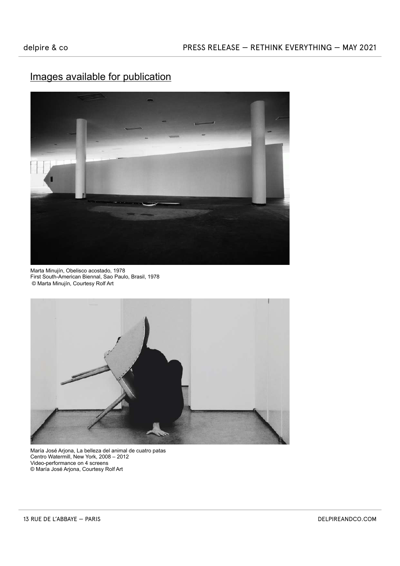

Marta Minujín, Obelisco acostado, 1978 First South-American Biennal, Sao Paulo, Brasil, 1978 © Marta Minujín, Courtesy Rolf Art



María José Arjona, La belleza del animal de cuatro patas Centro Watermill, New York, 2008 – 2012 Video-performance on 4 screens © María José Arjona, Courtesy Rolf Art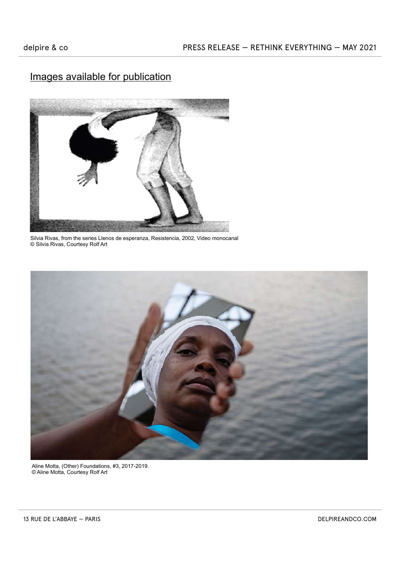

Silvia Rivas, from the series Llenos de esperanza, Resistencia, 2002, Video monocanal © Silvia Rivas, Courtesy Rolf Art



Aline Motta, (Other) Foundations, #3, 2017-2019. © Aline Motta, Courtesy Rolf Art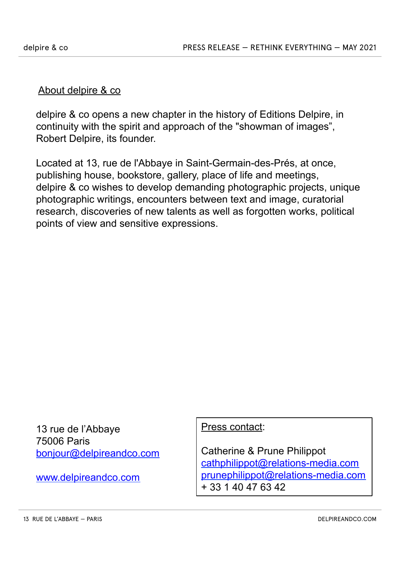#### About delpire & co

delpire & co opens a new chapter in the history of Editions Delpire, in continuity with the spirit and approach of the "showman of images", Robert Delpire, its founder.

Located at 13, rue de l'Abbaye in Saint-Germain-des-Prés, at once, publishing house, bookstore, gallery, place of life and meetings, delpire & co wishes to develop demanding photographic projects, unique photographic writings, encounters between text and image, curatorial research, discoveries of new talents as well as forgotten works, political points of view and sensitive expressions.

13 rue de l'Abbaye 75006 Paris bonjour@delpireandco.com

www.delpireandco.com

Press contact:

Catherine & Prune Philippot cathphilippot@relations-media.com prunephilippot@relations-media.com + 33 1 40 47 63 42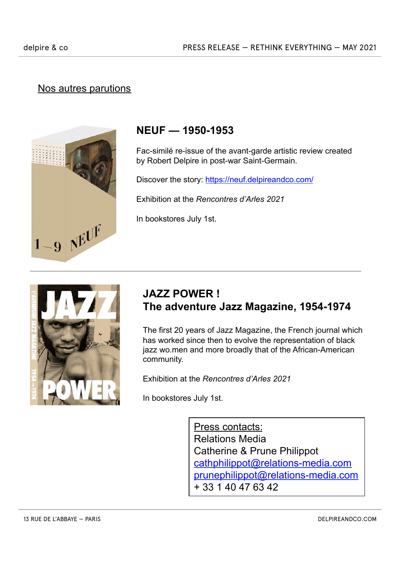## Nos autres parutions



# **NEUF — 1950-1953**

Fac-similé re-issue of the avant-garde artistic review created by Robert Delpire in post-war Saint-Germain.

Discover the story: https://neuf.delpireandco.com/

Exhibition at the *Rencontres d'Arles 2021* 

In bookstores July 1st.



# **JAZZ POWER ! The adventure Jazz Magazine, 1954-1974**

The first 20 years of Jazz Magazine, the French journal which has worked since then to evolve the representation of black jazz wo.men and more broadly that of the African-American community.

Exhibition at the *Rencontres d'Arles 2021* 

In bookstores July 1st.

Press contacts: Relations Media Catherine & Prune Philippot cathphilippot@relations-media.com prunephilippot@relations-media.com + 33 1 40 47 63 42